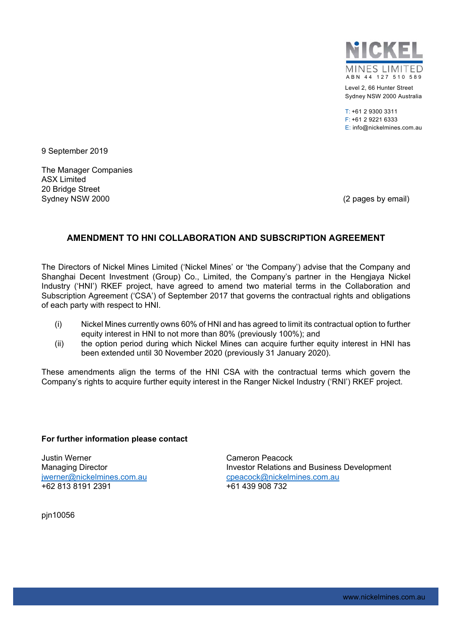

Level 2, 66 Hunter Street Sydney NSW 2000 Australia

T: +61 2 9300 3311 F: +61 2 9221 6333 E: info@nickelmines.com.au

9 September 2019

The Manager Companies ASX Limited 20 Bridge Street Sydney NSW 2000 (2 pages by email)

## **AMENDMENT TO HNI COLLABORATION AND SUBSCRIPTION AGREEMENT**

The Directors of Nickel Mines Limited ('Nickel Mines' or 'the Company') advise that the Company and Shanghai Decent Investment (Group) Co., Limited, the Company's partner in the Hengiaya Nickel Industry ('HNI') RKEF project, have agreed to amend two material terms in the Collaboration and Subscription Agreement ('CSA') of September 2017 that governs the contractual rights and obligations of each party with respect to HNI.

- (i) Nickel Mines currently owns 60% of HNI and has agreed to limit its contractual option to further equity interest in HNI to not more than 80% (previously 100%); and
- (ii) the option period during which Nickel Mines can acquire further equity interest in HNI has been extended until 30 November 2020 (previously 31 January 2020).

These amendments align the terms of the HNI CSA with the contractual terms which govern the Company's rights to acquire further equity interest in the Ranger Nickel Industry ('RNI') RKEF project.

## **For further information please contact**

Justin Werner Cameron Peacock +62 813 8191 2391 +61 439 908 732

Managing Director **Investor Relations and Business Development** jwerner@nickelmines.com.aucpeacock@nickelmines.com.au

pjn10056